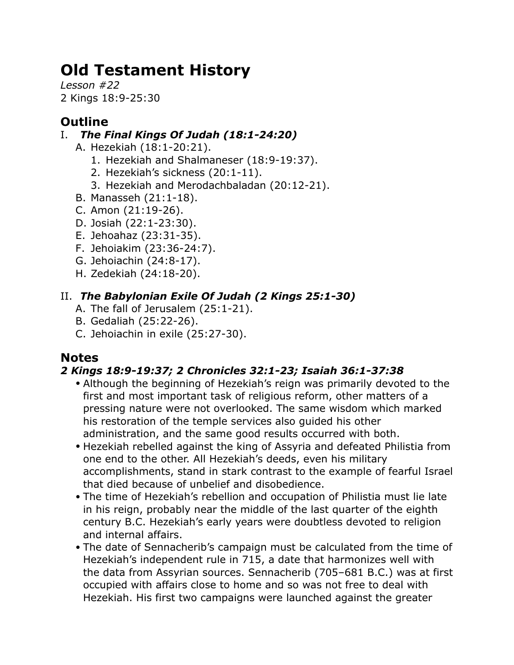# **Old Testament History**

*Lesson #22* 2 Kings 18:9-25:30

# **Outline**

## I. *The Final Kings Of Judah (18:1-24:20)*

- A. Hezekiah (18:1-20:21).
	- 1. Hezekiah and Shalmaneser (18:9-19:37).
	- 2. Hezekiah's sickness (20:1-11).
	- 3. Hezekiah and Merodachbaladan (20:12-21).
- B. Manasseh (21:1-18).
- C. Amon (21:19-26).
- D. Josiah (22:1-23:30).
- E. Jehoahaz (23:31-35).
- F. Jehoiakim (23:36-24:7).
- G. Jehoiachin (24:8-17).
- H. Zedekiah (24:18-20).

## II. *The Babylonian Exile Of Judah (2 Kings 25:1-30)*

- A. The fall of Jerusalem (25:1-21).
- B. Gedaliah (25:22-26).
- C. Jehoiachin in exile (25:27-30).

# **Notes**

## *2 Kings 18:9-19:37; 2 Chronicles 32:1-23; Isaiah 36:1-37:38*

- Although the beginning of Hezekiah's reign was primarily devoted to the first and most important task of religious reform, other matters of a pressing nature were not overlooked. The same wisdom which marked his restoration of the temple services also guided his other administration, and the same good results occurred with both.
- Hezekiah rebelled against the king of Assyria and defeated Philistia from one end to the other. All Hezekiah's deeds, even his military accomplishments, stand in stark contrast to the example of fearful Israel that died because of unbelief and disobedience.
- The time of Hezekiah's rebellion and occupation of Philistia must lie late in his reign, probably near the middle of the last quarter of the eighth century B.C. Hezekiah's early years were doubtless devoted to religion and internal affairs.
- The date of Sennacherib's campaign must be calculated from the time of Hezekiah's independent rule in 715, a date that harmonizes well with the data from Assyrian sources. Sennacherib (705–681 B.C.) was at first occupied with affairs close to home and so was not free to deal with Hezekiah. His first two campaigns were launched against the greater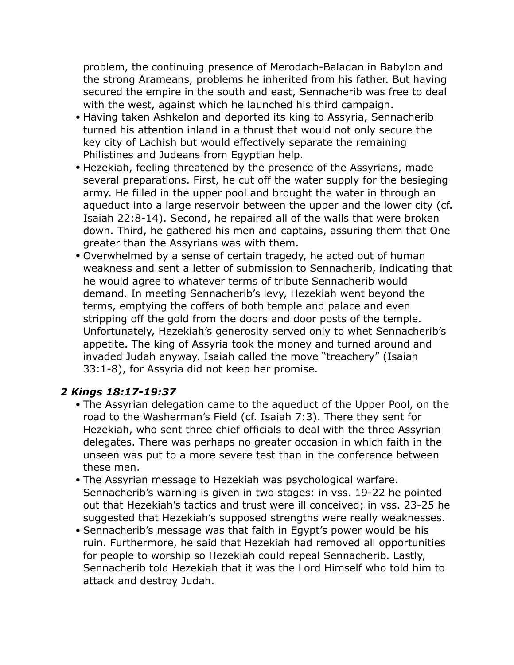problem, the continuing presence of Merodach-Baladan in Babylon and the strong Arameans, problems he inherited from his father. But having secured the empire in the south and east, Sennacherib was free to deal with the west, against which he launched his third campaign.

- Having taken Ashkelon and deported its king to Assyria, Sennacherib turned his attention inland in a thrust that would not only secure the key city of Lachish but would effectively separate the remaining Philistines and Judeans from Egyptian help.
- Hezekiah, feeling threatened by the presence of the Assyrians, made several preparations. First, he cut off the water supply for the besieging army. He filled in the upper pool and brought the water in through an aqueduct into a large reservoir between the upper and the lower city (cf. Isaiah 22:8-14). Second, he repaired all of the walls that were broken down. Third, he gathered his men and captains, assuring them that One greater than the Assyrians was with them.
- Overwhelmed by a sense of certain tragedy, he acted out of human weakness and sent a letter of submission to Sennacherib, indicating that he would agree to whatever terms of tribute Sennacherib would demand. In meeting Sennacherib's levy, Hezekiah went beyond the terms, emptying the coffers of both temple and palace and even stripping off the gold from the doors and door posts of the temple. Unfortunately, Hezekiah's generosity served only to whet Sennacherib's appetite. The king of Assyria took the money and turned around and invaded Judah anyway. Isaiah called the move "treachery" (Isaiah 33:1-8), for Assyria did not keep her promise.

#### *2 Kings 18:17-19:37*

- The Assyrian delegation came to the aqueduct of the Upper Pool, on the road to the Washerman's Field (cf. Isaiah 7:3). There they sent for Hezekiah, who sent three chief officials to deal with the three Assyrian delegates. There was perhaps no greater occasion in which faith in the unseen was put to a more severe test than in the conference between these men.
- The Assyrian message to Hezekiah was psychological warfare. Sennacherib's warning is given in two stages: in vss. 19-22 he pointed out that Hezekiah's tactics and trust were ill conceived; in vss. 23-25 he suggested that Hezekiah's supposed strengths were really weaknesses.
- Sennacherib's message was that faith in Egypt's power would be his ruin. Furthermore, he said that Hezekiah had removed all opportunities for people to worship so Hezekiah could repeal Sennacherib. Lastly, Sennacherib told Hezekiah that it was the Lord Himself who told him to attack and destroy Judah.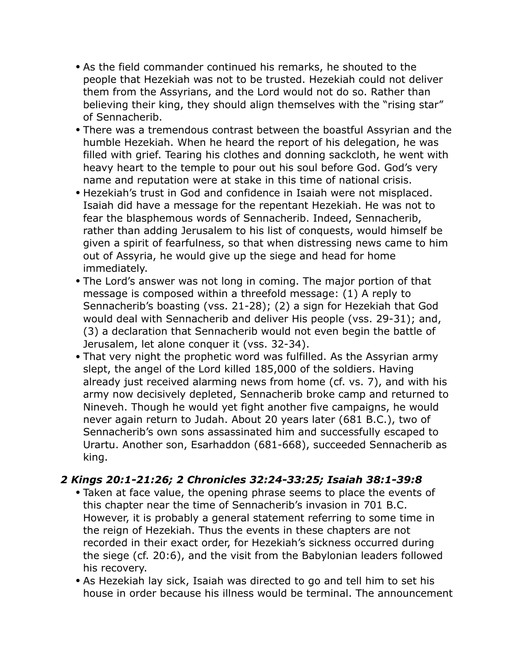- As the field commander continued his remarks, he shouted to the people that Hezekiah was not to be trusted. Hezekiah could not deliver them from the Assyrians, and the Lord would not do so. Rather than believing their king, they should align themselves with the "rising star" of Sennacherib.
- There was a tremendous contrast between the boastful Assyrian and the humble Hezekiah. When he heard the report of his delegation, he was filled with grief. Tearing his clothes and donning sackcloth, he went with heavy heart to the temple to pour out his soul before God. God's very name and reputation were at stake in this time of national crisis.
- Hezekiah's trust in God and confidence in Isaiah were not misplaced. Isaiah did have a message for the repentant Hezekiah. He was not to fear the blasphemous words of Sennacherib. Indeed, Sennacherib, rather than adding Jerusalem to his list of conquests, would himself be given a spirit of fearfulness, so that when distressing news came to him out of Assyria, he would give up the siege and head for home immediately.
- The Lord's answer was not long in coming. The major portion of that message is composed within a threefold message: (1) A reply to Sennacherib's boasting (vss. 21-28); (2) a sign for Hezekiah that God would deal with Sennacherib and deliver His people (vss. 29-31); and, (3) a declaration that Sennacherib would not even begin the battle of Jerusalem, let alone conquer it (vss. 32-34).
- That very night the prophetic word was fulfilled. As the Assyrian army slept, the angel of the Lord killed 185,000 of the soldiers. Having already just received alarming news from home (cf. vs. 7), and with his army now decisively depleted, Sennacherib broke camp and returned to Nineveh. Though he would yet fight another five campaigns, he would never again return to Judah. About 20 years later (681 B.C.), two of Sennacherib's own sons assassinated him and successfully escaped to Urartu. Another son, Esarhaddon (681-668), succeeded Sennacherib as king.

#### *2 Kings 20:1-21:26; 2 Chronicles 32:24-33:25; Isaiah 38:1-39:8*

- Taken at face value, the opening phrase seems to place the events of this chapter near the time of Sennacherib's invasion in 701 B.C. However, it is probably a general statement referring to some time in the reign of Hezekiah. Thus the events in these chapters are not recorded in their exact order, for Hezekiah's sickness occurred during the siege (cf. 20:6), and the visit from the Babylonian leaders followed his recovery.
- As Hezekiah lay sick, Isaiah was directed to go and tell him to set his house in order because his illness would be terminal. The announcement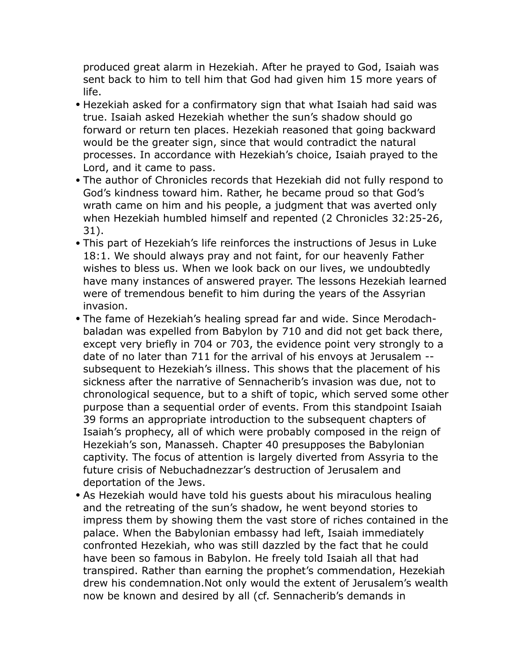produced great alarm in Hezekiah. After he prayed to God, Isaiah was sent back to him to tell him that God had given him 15 more years of life.

- Hezekiah asked for a confirmatory sign that what Isaiah had said was true. Isaiah asked Hezekiah whether the sun's shadow should go forward or return ten places. Hezekiah reasoned that going backward would be the greater sign, since that would contradict the natural processes. In accordance with Hezekiah's choice, Isaiah prayed to the Lord, and it came to pass.
- The author of Chronicles records that Hezekiah did not fully respond to God's kindness toward him. Rather, he became proud so that God's wrath came on him and his people, a judgment that was averted only when Hezekiah humbled himself and repented (2 Chronicles 32:25-26, 31).
- This part of Hezekiah's life reinforces the instructions of Jesus in Luke 18:1. We should always pray and not faint, for our heavenly Father wishes to bless us. When we look back on our lives, we undoubtedly have many instances of answered prayer. The lessons Hezekiah learned were of tremendous benefit to him during the years of the Assyrian invasion.
- The fame of Hezekiah's healing spread far and wide. Since Merodachbaladan was expelled from Babylon by 710 and did not get back there, except very briefly in 704 or 703, the evidence point very strongly to a date of no later than 711 for the arrival of his envoys at Jerusalem - subsequent to Hezekiah's illness. This shows that the placement of his sickness after the narrative of Sennacherib's invasion was due, not to chronological sequence, but to a shift of topic, which served some other purpose than a sequential order of events. From this standpoint Isaiah 39 forms an appropriate introduction to the subsequent chapters of Isaiah's prophecy, all of which were probably composed in the reign of Hezekiah's son, Manasseh. Chapter 40 presupposes the Babylonian captivity. The focus of attention is largely diverted from Assyria to the future crisis of Nebuchadnezzar's destruction of Jerusalem and deportation of the Jews.
- As Hezekiah would have told his guests about his miraculous healing and the retreating of the sun's shadow, he went beyond stories to impress them by showing them the vast store of riches contained in the palace. When the Babylonian embassy had left, Isaiah immediately confronted Hezekiah, who was still dazzled by the fact that he could have been so famous in Babylon. He freely told Isaiah all that had transpired. Rather than earning the prophet's commendation, Hezekiah drew his condemnation.Not only would the extent of Jerusalem's wealth now be known and desired by all (cf. Sennacherib's demands in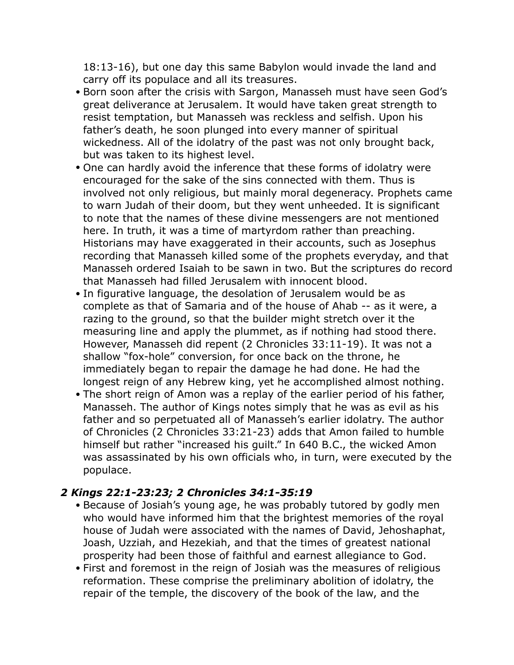18:13-16), but one day this same Babylon would invade the land and carry off its populace and all its treasures.

- Born soon after the crisis with Sargon, Manasseh must have seen God's great deliverance at Jerusalem. It would have taken great strength to resist temptation, but Manasseh was reckless and selfish. Upon his father's death, he soon plunged into every manner of spiritual wickedness. All of the idolatry of the past was not only brought back, but was taken to its highest level.
- One can hardly avoid the inference that these forms of idolatry were encouraged for the sake of the sins connected with them. Thus is involved not only religious, but mainly moral degeneracy. Prophets came to warn Judah of their doom, but they went unheeded. It is significant to note that the names of these divine messengers are not mentioned here. In truth, it was a time of martyrdom rather than preaching. Historians may have exaggerated in their accounts, such as Josephus recording that Manasseh killed some of the prophets everyday, and that Manasseh ordered Isaiah to be sawn in two. But the scriptures do record that Manasseh had filled Jerusalem with innocent blood.
- In figurative language, the desolation of Jerusalem would be as complete as that of Samaria and of the house of Ahab -- as it were, a razing to the ground, so that the builder might stretch over it the measuring line and apply the plummet, as if nothing had stood there. However, Manasseh did repent (2 Chronicles 33:11-19). It was not a shallow "fox-hole" conversion, for once back on the throne, he immediately began to repair the damage he had done. He had the longest reign of any Hebrew king, yet he accomplished almost nothing.
- The short reign of Amon was a replay of the earlier period of his father, Manasseh. The author of Kings notes simply that he was as evil as his father and so perpetuated all of Manasseh's earlier idolatry. The author of Chronicles (2 Chronicles 33:21-23) adds that Amon failed to humble himself but rather "increased his guilt." In 640 B.C., the wicked Amon was assassinated by his own officials who, in turn, were executed by the populace.

#### *2 Kings 22:1-23:23; 2 Chronicles 34:1-35:19*

- Because of Josiah's young age, he was probably tutored by godly men who would have informed him that the brightest memories of the royal house of Judah were associated with the names of David, Jehoshaphat, Joash, Uzziah, and Hezekiah, and that the times of greatest national prosperity had been those of faithful and earnest allegiance to God.
- First and foremost in the reign of Josiah was the measures of religious reformation. These comprise the preliminary abolition of idolatry, the repair of the temple, the discovery of the book of the law, and the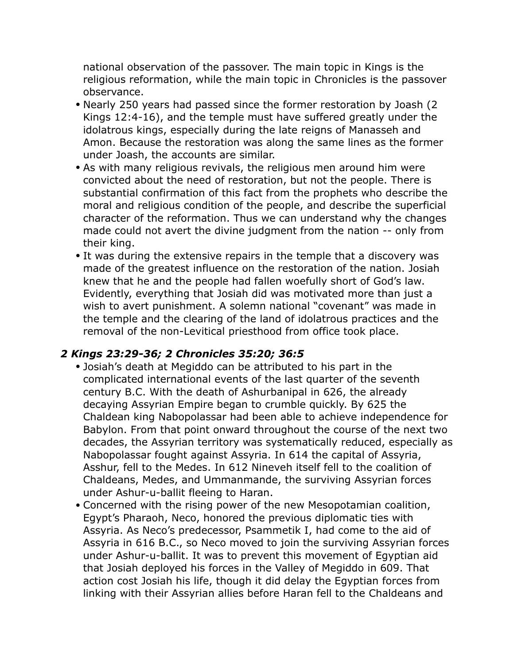national observation of the passover. The main topic in Kings is the religious reformation, while the main topic in Chronicles is the passover observance.

- Nearly 250 years had passed since the former restoration by Joash (2 Kings 12:4-16), and the temple must have suffered greatly under the idolatrous kings, especially during the late reigns of Manasseh and Amon. Because the restoration was along the same lines as the former under Joash, the accounts are similar.
- As with many religious revivals, the religious men around him were convicted about the need of restoration, but not the people. There is substantial confirmation of this fact from the prophets who describe the moral and religious condition of the people, and describe the superficial character of the reformation. Thus we can understand why the changes made could not avert the divine judgment from the nation -- only from their king.
- It was during the extensive repairs in the temple that a discovery was made of the greatest influence on the restoration of the nation. Josiah knew that he and the people had fallen woefully short of God's law. Evidently, everything that Josiah did was motivated more than just a wish to avert punishment. A solemn national "covenant" was made in the temple and the clearing of the land of idolatrous practices and the removal of the non-Levitical priesthood from office took place.

#### *2 Kings 23:29-36; 2 Chronicles 35:20; 36:5*

- Josiah's death at Megiddo can be attributed to his part in the complicated international events of the last quarter of the seventh century B.C. With the death of Ashurbanipal in 626, the already decaying Assyrian Empire began to crumble quickly. By 625 the Chaldean king Nabopolassar had been able to achieve independence for Babylon. From that point onward throughout the course of the next two decades, the Assyrian territory was systematically reduced, especially as Nabopolassar fought against Assyria. In 614 the capital of Assyria, Asshur, fell to the Medes. In 612 Nineveh itself fell to the coalition of Chaldeans, Medes, and Ummanmande, the surviving Assyrian forces under Ashur-u-ballit fleeing to Haran.
- Concerned with the rising power of the new Mesopotamian coalition, Egypt's Pharaoh, Neco, honored the previous diplomatic ties with Assyria. As Neco's predecessor, Psammetik I, had come to the aid of Assyria in 616 B.C., so Neco moved to join the surviving Assyrian forces under Ashur-u-ballit. It was to prevent this movement of Egyptian aid that Josiah deployed his forces in the Valley of Megiddo in 609. That action cost Josiah his life, though it did delay the Egyptian forces from linking with their Assyrian allies before Haran fell to the Chaldeans and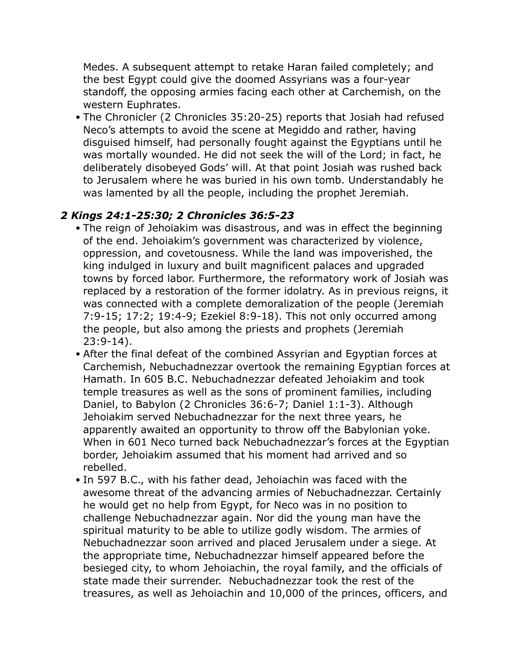Medes. A subsequent attempt to retake Haran failed completely; and the best Egypt could give the doomed Assyrians was a four-year standoff, the opposing armies facing each other at Carchemish, on the western Euphrates.

• The Chronicler (2 Chronicles 35:20-25) reports that Josiah had refused Neco's attempts to avoid the scene at Megiddo and rather, having disguised himself, had personally fought against the Egyptians until he was mortally wounded. He did not seek the will of the Lord; in fact, he deliberately disobeyed Gods' will. At that point Josiah was rushed back to Jerusalem where he was buried in his own tomb. Understandably he was lamented by all the people, including the prophet Jeremiah.

#### *2 Kings 24:1-25:30; 2 Chronicles 36:5-23*

- The reign of Jehoiakim was disastrous, and was in effect the beginning of the end. Jehoiakim's government was characterized by violence, oppression, and covetousness. While the land was impoverished, the king indulged in luxury and built magnificent palaces and upgraded towns by forced labor. Furthermore, the reformatory work of Josiah was replaced by a restoration of the former idolatry. As in previous reigns, it was connected with a complete demoralization of the people (Jeremiah 7:9-15; 17:2; 19:4-9; Ezekiel 8:9-18). This not only occurred among the people, but also among the priests and prophets (Jeremiah 23:9-14).
- After the final defeat of the combined Assyrian and Egyptian forces at Carchemish, Nebuchadnezzar overtook the remaining Egyptian forces at Hamath. In 605 B.C. Nebuchadnezzar defeated Jehoiakim and took temple treasures as well as the sons of prominent families, including Daniel, to Babylon (2 Chronicles 36:6-7; Daniel 1:1-3). Although Jehoiakim served Nebuchadnezzar for the next three years, he apparently awaited an opportunity to throw off the Babylonian yoke. When in 601 Neco turned back Nebuchadnezzar's forces at the Egyptian border, Jehoiakim assumed that his moment had arrived and so rebelled.
- In 597 B.C., with his father dead, Jehoiachin was faced with the awesome threat of the advancing armies of Nebuchadnezzar. Certainly he would get no help from Egypt, for Neco was in no position to challenge Nebuchadnezzar again. Nor did the young man have the spiritual maturity to be able to utilize godly wisdom. The armies of Nebuchadnezzar soon arrived and placed Jerusalem under a siege. At the appropriate time, Nebuchadnezzar himself appeared before the besieged city, to whom Jehoiachin, the royal family, and the officials of state made their surrender. Nebuchadnezzar took the rest of the treasures, as well as Jehoiachin and 10,000 of the princes, officers, and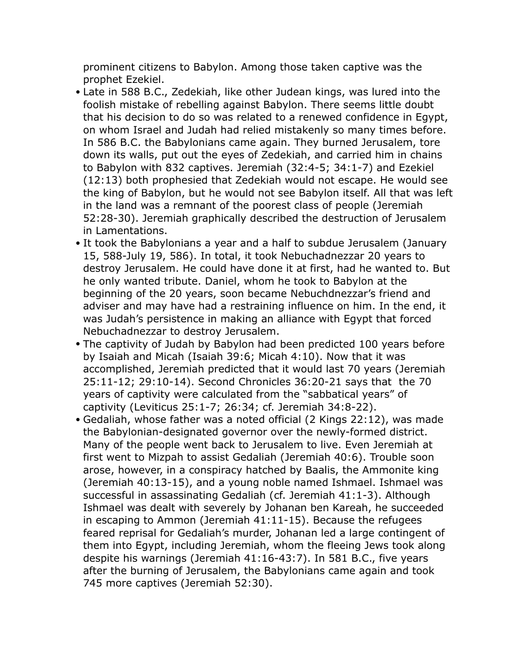prominent citizens to Babylon. Among those taken captive was the prophet Ezekiel.

- Late in 588 B.C., Zedekiah, like other Judean kings, was lured into the foolish mistake of rebelling against Babylon. There seems little doubt that his decision to do so was related to a renewed confidence in Egypt, on whom Israel and Judah had relied mistakenly so many times before. In 586 B.C. the Babylonians came again. They burned Jerusalem, tore down its walls, put out the eyes of Zedekiah, and carried him in chains to Babylon with 832 captives. Jeremiah (32:4-5; 34:1-7) and Ezekiel (12:13) both prophesied that Zedekiah would not escape. He would see the king of Babylon, but he would not see Babylon itself. All that was left in the land was a remnant of the poorest class of people (Jeremiah 52:28-30). Jeremiah graphically described the destruction of Jerusalem in Lamentations.
- It took the Babylonians a year and a half to subdue Jerusalem (January 15, 588-July 19, 586). In total, it took Nebuchadnezzar 20 years to destroy Jerusalem. He could have done it at first, had he wanted to. But he only wanted tribute. Daniel, whom he took to Babylon at the beginning of the 20 years, soon became Nebuchdnezzar's friend and adviser and may have had a restraining influence on him. In the end, it was Judah's persistence in making an alliance with Egypt that forced Nebuchadnezzar to destroy Jerusalem.
- The captivity of Judah by Babylon had been predicted 100 years before by Isaiah and Micah (Isaiah 39:6; Micah 4:10). Now that it was accomplished, Jeremiah predicted that it would last 70 years (Jeremiah 25:11-12; 29:10-14). Second Chronicles 36:20-21 says that the 70 years of captivity were calculated from the "sabbatical years" of captivity (Leviticus 25:1-7; 26:34; cf. Jeremiah 34:8-22).
- Gedaliah, whose father was a noted official (2 Kings 22:12), was made the Babylonian-designated governor over the newly-formed district. Many of the people went back to Jerusalem to live. Even Jeremiah at first went to Mizpah to assist Gedaliah (Jeremiah 40:6). Trouble soon arose, however, in a conspiracy hatched by Baalis, the Ammonite king (Jeremiah 40:13-15), and a young noble named Ishmael. Ishmael was successful in assassinating Gedaliah (cf. Jeremiah 41:1-3). Although Ishmael was dealt with severely by Johanan ben Kareah, he succeeded in escaping to Ammon (Jeremiah 41:11-15). Because the refugees feared reprisal for Gedaliah's murder, Johanan led a large contingent of them into Egypt, including Jeremiah, whom the fleeing Jews took along despite his warnings (Jeremiah 41:16-43:7). In 581 B.C., five years after the burning of Jerusalem, the Babylonians came again and took 745 more captives (Jeremiah 52:30).